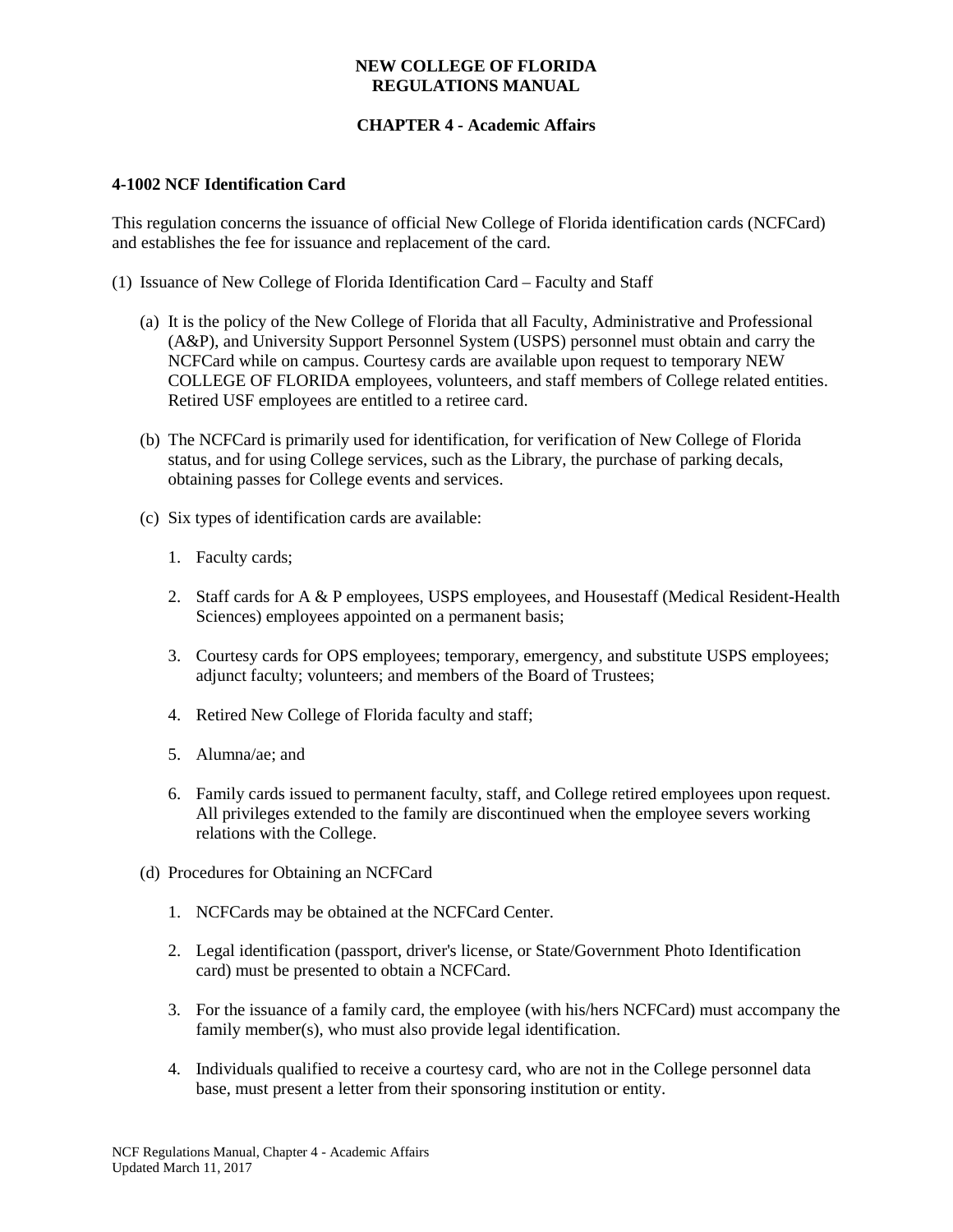#### **NEW COLLEGE OF FLORIDA REGULATIONS MANUAL**

# **CHAPTER 4 - Academic Affairs**

#### **4-1002 NCF Identification Card**

This regulation concerns the issuance of official New College of Florida identification cards (NCFCard) and establishes the fee for issuance and replacement of the card.

- (1) Issuance of New College of Florida Identification Card Faculty and Staff
	- (a) It is the policy of the New College of Florida that all Faculty, Administrative and Professional (A&P), and University Support Personnel System (USPS) personnel must obtain and carry the NCFCard while on campus. Courtesy cards are available upon request to temporary NEW COLLEGE OF FLORIDA employees, volunteers, and staff members of College related entities. Retired USF employees are entitled to a retiree card.
	- (b) The NCFCard is primarily used for identification, for verification of New College of Florida status, and for using College services, such as the Library, the purchase of parking decals, obtaining passes for College events and services.
	- (c) Six types of identification cards are available:
		- 1. Faculty cards;
		- 2. Staff cards for A & P employees, USPS employees, and Housestaff (Medical Resident-Health Sciences) employees appointed on a permanent basis;
		- 3. Courtesy cards for OPS employees; temporary, emergency, and substitute USPS employees; adjunct faculty; volunteers; and members of the Board of Trustees;
		- 4. Retired New College of Florida faculty and staff;
		- 5. Alumna/ae; and
		- 6. Family cards issued to permanent faculty, staff, and College retired employees upon request. All privileges extended to the family are discontinued when the employee severs working relations with the College.
	- (d) Procedures for Obtaining an NCFCard
		- 1. NCFCards may be obtained at the NCFCard Center.
		- 2. Legal identification (passport, driver's license, or State/Government Photo Identification card) must be presented to obtain a NCFCard.
		- 3. For the issuance of a family card, the employee (with his/hers NCFCard) must accompany the family member(s), who must also provide legal identification.
		- 4. Individuals qualified to receive a courtesy card, who are not in the College personnel data base, must present a letter from their sponsoring institution or entity.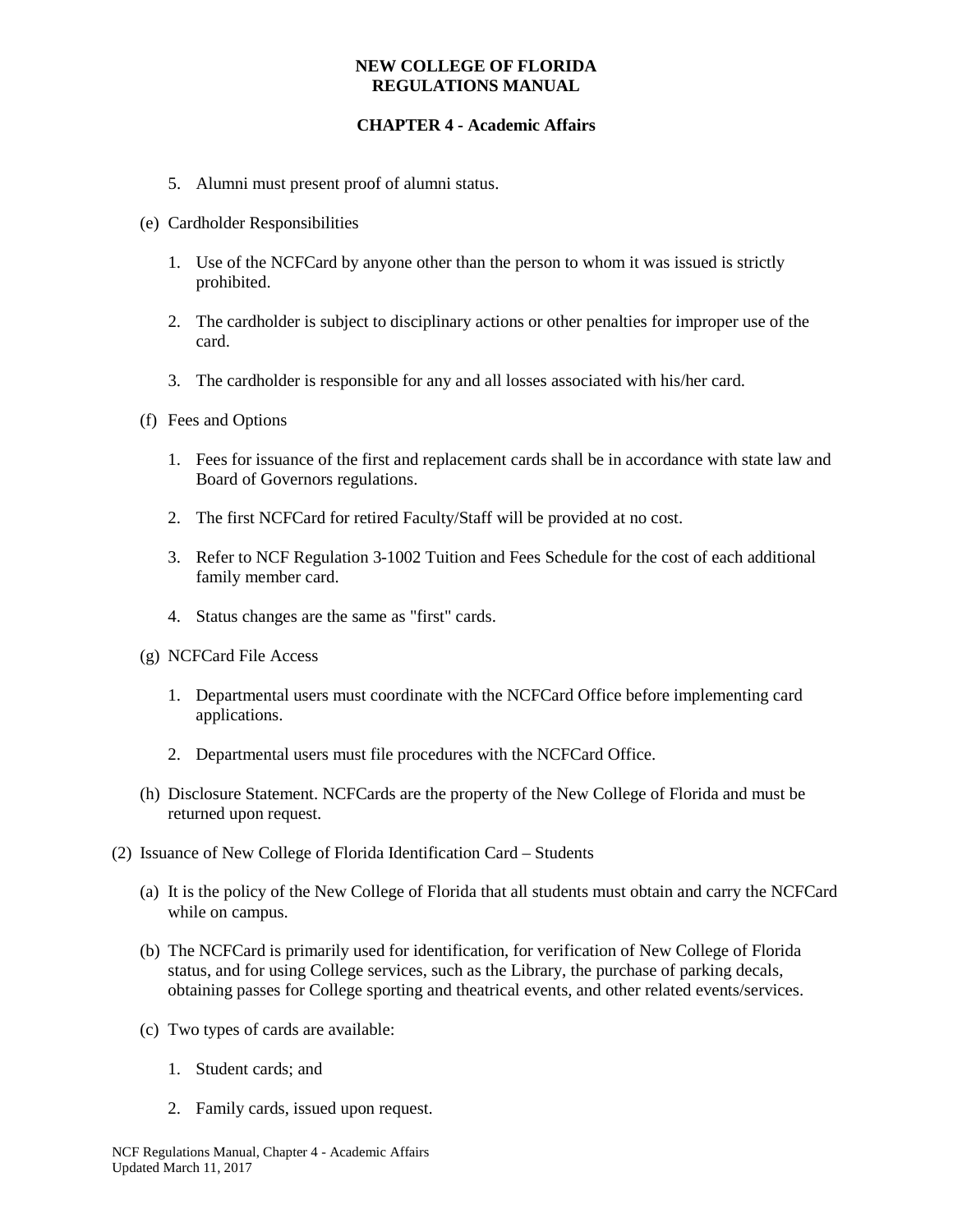#### **NEW COLLEGE OF FLORIDA REGULATIONS MANUAL**

### **CHAPTER 4 - Academic Affairs**

- 5. Alumni must present proof of alumni status.
- (e) Cardholder Responsibilities
	- 1. Use of the NCFCard by anyone other than the person to whom it was issued is strictly prohibited.
	- 2. The cardholder is subject to disciplinary actions or other penalties for improper use of the card.
	- 3. The cardholder is responsible for any and all losses associated with his/her card.
- (f) Fees and Options
	- 1. Fees for issuance of the first and replacement cards shall be in accordance with state law and Board of Governors regulations.
	- 2. The first NCFCard for retired Faculty/Staff will be provided at no cost.
	- 3. Refer to NCF Regulation 3-1002 Tuition and Fees Schedule for the cost of each additional family member card.
	- 4. Status changes are the same as "first" cards.
- (g) NCFCard File Access
	- 1. Departmental users must coordinate with the NCFCard Office before implementing card applications.
	- 2. Departmental users must file procedures with the NCFCard Office.
- (h) Disclosure Statement. NCFCards are the property of the New College of Florida and must be returned upon request.
- (2) Issuance of New College of Florida Identification Card Students
	- (a) It is the policy of the New College of Florida that all students must obtain and carry the NCFCard while on campus.
	- (b) The NCFCard is primarily used for identification, for verification of New College of Florida status, and for using College services, such as the Library, the purchase of parking decals, obtaining passes for College sporting and theatrical events, and other related events/services.
	- (c) Two types of cards are available:
		- 1. Student cards; and
		- 2. Family cards, issued upon request.

NCF Regulations Manual, Chapter 4 - Academic Affairs Updated March 11, 2017